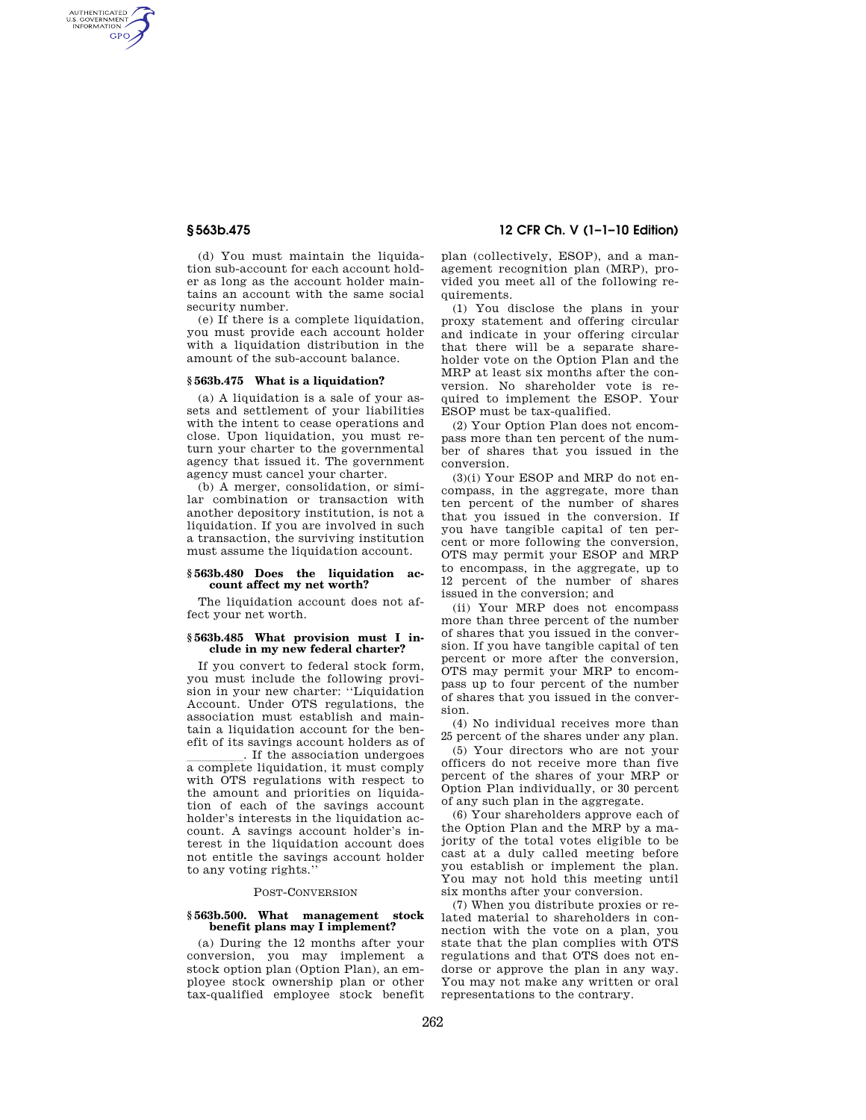AUTHENTICATED<br>U.S. GOVERNMENT<br>INFORMATION **GPO** 

> (d) You must maintain the liquidation sub-account for each account holder as long as the account holder maintains an account with the same social security number.

(e) If there is a complete liquidation, you must provide each account holder with a liquidation distribution in the amount of the sub-account balance.

#### **§ 563b.475 What is a liquidation?**

(a) A liquidation is a sale of your assets and settlement of your liabilities with the intent to cease operations and close. Upon liquidation, you must return your charter to the governmental agency that issued it. The government agency must cancel your charter.

(b) A merger, consolidation, or similar combination or transaction with another depository institution, is not a liquidation. If you are involved in such a transaction, the surviving institution must assume the liquidation account.

#### **§ 563b.480 Does the liquidation account affect my net worth?**

The liquidation account does not affect your net worth.

## **§ 563b.485 What provision must I include in my new federal charter?**

If you convert to federal stock form, you must include the following provision in your new charter: ''Liquidation Account. Under OTS regulations, the association must establish and maintain a liquidation account for the benefit of its savings account holders as of

If the association undergoes<br>a complete liquidation, it must comply with OTS regulations with respect to the amount and priorities on liquidation of each of the savings account holder's interests in the liquidation account. A savings account holder's interest in the liquidation account does not entitle the savings account holder to any voting rights.''

#### POST-CONVERSION

## **§ 563b.500. What management stock benefit plans may I implement?**

(a) During the 12 months after your conversion, you may implement a stock option plan (Option Plan), an employee stock ownership plan or other tax-qualified employee stock benefit

# **§ 563b.475 12 CFR Ch. V (1–1–10 Edition)**

plan (collectively, ESOP), and a management recognition plan (MRP), provided you meet all of the following requirements.

(1) You disclose the plans in your proxy statement and offering circular and indicate in your offering circular that there will be a separate shareholder vote on the Option Plan and the MRP at least six months after the conversion. No shareholder vote is required to implement the ESOP. Your ESOP must be tax-qualified.

(2) Your Option Plan does not encompass more than ten percent of the number of shares that you issued in the conversion.

(3)(i) Your ESOP and MRP do not encompass, in the aggregate, more than ten percent of the number of shares that you issued in the conversion. If you have tangible capital of ten percent or more following the conversion, OTS may permit your ESOP and MRP to encompass, in the aggregate, up to 12 percent of the number of shares issued in the conversion; and

(ii) Your MRP does not encompass more than three percent of the number of shares that you issued in the conversion. If you have tangible capital of ten percent or more after the conversion, OTS may permit your MRP to encompass up to four percent of the number of shares that you issued in the conversion.

(4) No individual receives more than 25 percent of the shares under any plan.

(5) Your directors who are not your officers do not receive more than five percent of the shares of your MRP or Option Plan individually, or 30 percent of any such plan in the aggregate.

(6) Your shareholders approve each of the Option Plan and the MRP by a majority of the total votes eligible to be cast at a duly called meeting before you establish or implement the plan. You may not hold this meeting until six months after your conversion.

(7) When you distribute proxies or related material to shareholders in connection with the vote on a plan, you state that the plan complies with OTS regulations and that OTS does not endorse or approve the plan in any way. You may not make any written or oral representations to the contrary.